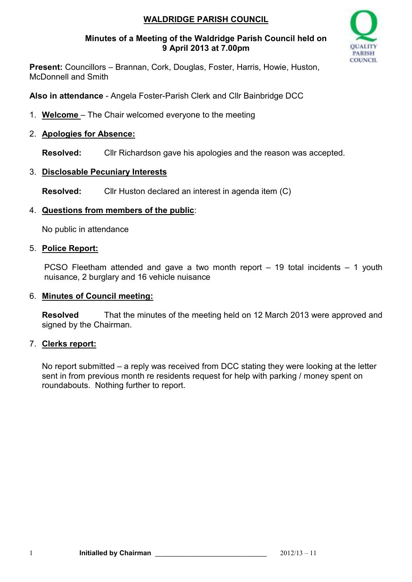# **WALDRIDGE PARISH COUNCIL**

### **Minutes of a Meeting of the Waldridge Parish Council held on 9 April 2013 at 7.00pm**



**Present:** Councillors – Brannan, Cork, Douglas, Foster, Harris, Howie, Huston, McDonnell and Smith

**Also in attendance** - Angela Foster-Parish Clerk and Cllr Bainbridge DCC

1. **Welcome** – The Chair welcomed everyone to the meeting

## 2. **Apologies for Absence:**

**Resolved:** Cllr Richardson gave his apologies and the reason was accepted.

## 3. **Disclosable Pecuniary Interests**

**Resolved:** Cllr Huston declared an interest in agenda item (C)

## 4. **Questions from members of the public**:

No public in attendance

## 5. **Police Report:**

PCSO Fleetham attended and gave a two month report – 19 total incidents – 1 youth nuisance, 2 burglary and 16 vehicle nuisance

## 6. **Minutes of Council meeting:**

**Resolved** That the minutes of the meeting held on 12 March 2013 were approved and signed by the Chairman.

## 7. **Clerks report:**

No report submitted – a reply was received from DCC stating they were looking at the letter sent in from previous month re residents request for help with parking / money spent on roundabouts. Nothing further to report.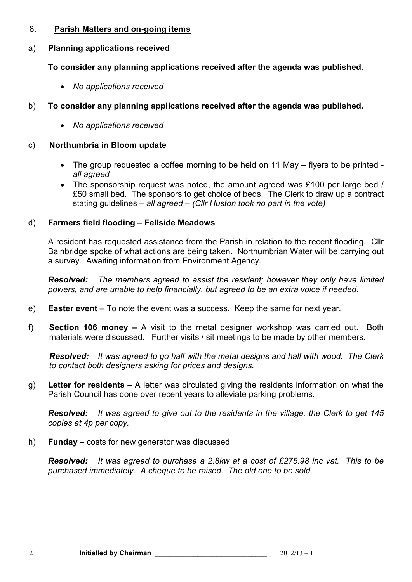#### 8. **Parish Matters and on-going items**

### a) **Planning applications received**

## **To consider any planning applications received after the agenda was published.**

• *No applications received* 

# b) **To consider any planning applications received after the agenda was published.**

• *No applications received* 

### c) **Northumbria in Bloom update**

- The group requested a coffee morning to be held on 11 May flyers to be printed *all agreed*
- The sponsorship request was noted, the amount agreed was £100 per large bed / £50 small bed. The sponsors to get choice of beds. The Clerk to draw up a contract stating guidelines – *all agreed – (Cllr Huston took no part in the vote)*

## d) **Farmers field flooding – Fellside Meadows**

A resident has requested assistance from the Parish in relation to the recent flooding. Cllr Bainbridge spoke of what actions are being taken. Northumbrian Water will be carrying out a survey. Awaiting information from Environment Agency.

*Resolved: The members agreed to assist the resident; however they only have limited powers, and are unable to help financially, but agreed to be an extra voice if needed.* 

- e) **Easter event**  To note the event was a success. Keep the same for next year.
- f) **Section 106 money** A visit to the metal designer workshop was carried out. Both materials were discussed. Further visits / sit meetings to be made by other members.

*Resolved: It was agreed to go half with the metal designs and half with wood. The Clerk to contact both designers asking for prices and designs.*

g) **Letter for residents** – A letter was circulated giving the residents information on what the Parish Council has done over recent years to alleviate parking problems.

*Resolved: It was agreed to give out to the residents in the village, the Clerk to get 145 copies at 4p per copy.*

h) **Funday** – costs for new generator was discussed

*Resolved: It was agreed to purchase a 2.8kw at a cost of £275.98 inc vat. This to be purchased immediately. A cheque to be raised. The old one to be sold.*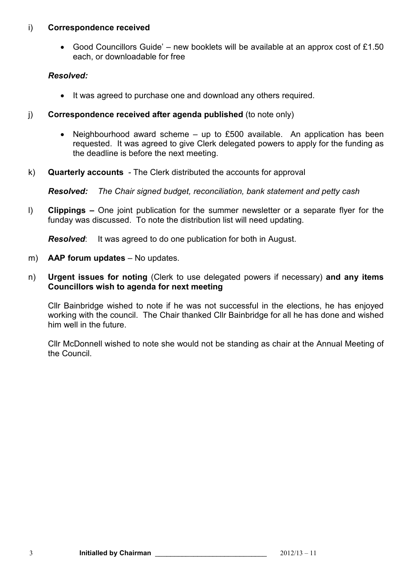#### i) **Correspondence received**

• Good Councillors Guide' – new booklets will be available at an approx cost of £1.50 each, or downloadable for free

### *Resolved:*

- It was agreed to purchase one and download any others required.
- j) **Correspondence received after agenda published** (to note only)
	- Neighbourhood award scheme up to £500 available. An application has been requested. It was agreed to give Clerk delegated powers to apply for the funding as the deadline is before the next meeting.
- k) **Quarterly accounts**  The Clerk distributed the accounts for approval

*Resolved: The Chair signed budget, reconciliation, bank statement and petty cash* 

l) **Clippings –** One joint publication for the summer newsletter or a separate flyer for the funday was discussed. To note the distribution list will need updating.

*Resolved*: It was agreed to do one publication for both in August.

- m) **AAP forum updates** No updates.
- n) **Urgent issues for noting** (Clerk to use delegated powers if necessary) **and any items Councillors wish to agenda for next meeting**

Cllr Bainbridge wished to note if he was not successful in the elections, he has enjoyed working with the council. The Chair thanked Cllr Bainbridge for all he has done and wished him well in the future.

Cllr McDonnell wished to note she would not be standing as chair at the Annual Meeting of the Council.